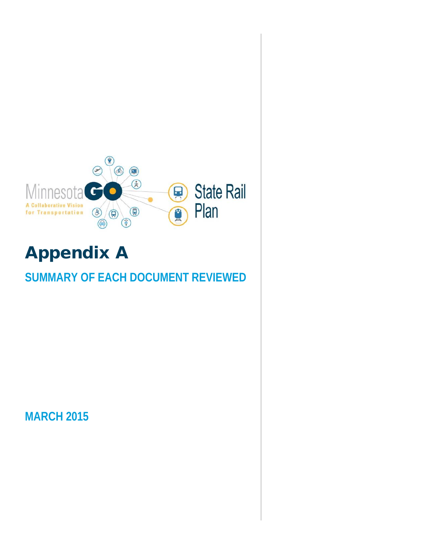

# Appendix A

## **SUMMARY OF EACH DOCUMENT REVIEWED**

**MARCH 2015**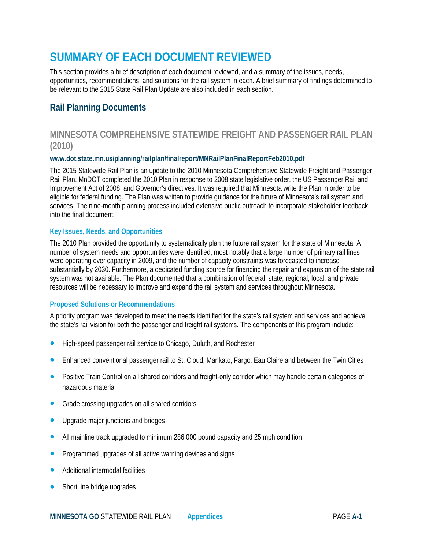## **SUMMARY OF EACH DOCUMENT REVIEWED**

This section provides a brief description of each document reviewed, and a summary of the issues, needs, opportunities, recommendations, and solutions for the rail system in each. A brief summary of findings determined to be relevant to the 2015 State Rail Plan Update are also included in each section.

## **Rail Planning Documents**

## **MINNESOTA COMPREHENSIVE STATEWIDE FREIGHT AND PASSENGER RAIL PLAN (2010)**

#### **www.dot.state.mn.us/planning/railplan/finalreport/MNRailPlanFinalReportFeb2010.pdf**

The 2015 Statewide Rail Plan is an update to the 2010 Minnesota Comprehensive Statewide Freight and Passenger Rail Plan. MnDOT completed the 2010 Plan in response to 2008 state legislative order, the US Passenger Rail and Improvement Act of 2008, and Governor's directives. It was required that Minnesota write the Plan in order to be eligible for federal funding. The Plan was written to provide guidance for the future of Minnesota's rail system and services. The nine-month planning process included extensive public outreach to incorporate stakeholder feedback into the final document.

#### **Key Issues, Needs, and Opportunities**

The 2010 Plan provided the opportunity to systematically plan the future rail system for the state of Minnesota. A number of system needs and opportunities were identified, most notably that a large number of primary rail lines were operating over capacity in 2009, and the number of capacity constraints was forecasted to increase substantially by 2030. Furthermore, a dedicated funding source for financing the repair and expansion of the state rail system was not available. The Plan documented that a combination of federal, state, regional, local, and private resources will be necessary to improve and expand the rail system and services throughout Minnesota.

#### **Proposed Solutions or Recommendations**

A priority program was developed to meet the needs identified for the state's rail system and services and achieve the state's rail vision for both the passenger and freight rail systems. The components of this program include:

- High-speed passenger rail service to Chicago, Duluth, and Rochester
- Enhanced conventional passenger rail to St. Cloud, Mankato, Fargo, Eau Claire and between the Twin Cities
- Positive Train Control on all shared corridors and freight-only corridor which may handle certain categories of hazardous material
- Grade crossing upgrades on all shared corridors
- Upgrade major junctions and bridges
- All mainline track upgraded to minimum 286,000 pound capacity and 25 mph condition
- Programmed upgrades of all active warning devices and signs
- Additional intermodal facilities
- Short line bridge upgrades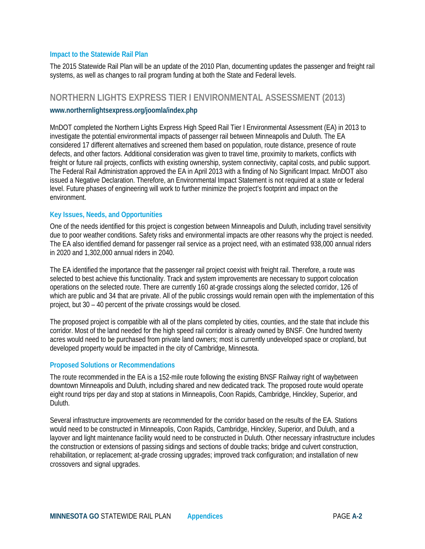The 2015 Statewide Rail Plan will be an update of the 2010 Plan, documenting updates the passenger and freight rail systems, as well as changes to rail program funding at both the State and Federal levels.

## **NORTHERN LIGHTS EXPRESS TIER I ENVIRONMENTAL ASSESSMENT (2013)**

#### **[www.northernlightsexpress.org/joomla/index.php](http://www.northernlightsexpress.org/joomla/index.php)**

MnDOT completed the Northern Lights Express High Speed Rail Tier I Environmental Assessment (EA) in 2013 to investigate the potential environmental impacts of passenger rail between Minneapolis and Duluth. The EA considered 17 different alternatives and screened them based on population, route distance, presence of route defects, and other factors. Additional consideration was given to travel time, proximity to markets, conflicts with freight or future rail projects, conflicts with existing ownership, system connectivity, capital costs, and public support. The Federal Rail Administration approved the EA in April 2013 with a finding of No Significant Impact. MnDOT also issued a Negative Declaration. Therefore, an Environmental Impact Statement is not required at a state or federal level. Future phases of engineering will work to further minimize the project's footprint and impact on the environment.

#### **Key Issues, Needs, and Opportunities**

One of the needs identified for this project is congestion between Minneapolis and Duluth, including travel sensitivity due to poor weather conditions. Safety risks and environmental impacts are other reasons why the project is needed. The EA also identified demand for passenger rail service as a project need, with an estimated 938,000 annual riders in 2020 and 1,302,000 annual riders in 2040.

The EA identified the importance that the passenger rail project coexist with freight rail. Therefore, a route was selected to best achieve this functionality. Track and system improvements are necessary to support colocation operations on the selected route. There are currently 160 at-grade crossings along the selected corridor, 126 of which are public and 34 that are private. All of the public crossings would remain open with the implementation of this project, but 30 – 40 percent of the private crossings would be closed.

The proposed project is compatible with all of the plans completed by cities, counties, and the state that include this corridor. Most of the land needed for the high speed rail corridor is already owned by BNSF. One hundred twenty acres would need to be purchased from private land owners; most is currently undeveloped space or cropland, but developed property would be impacted in the city of Cambridge, Minnesota.

#### **Proposed Solutions or Recommendations**

The route recommended in the EA is a 152-mile route following the existing BNSF Railway right of waybetween downtown Minneapolis and Duluth, including shared and new dedicated track. The proposed route would operate eight round trips per day and stop at stations in Minneapolis, Coon Rapids, Cambridge, Hinckley, Superior, and Duluth.

Several infrastructure improvements are recommended for the corridor based on the results of the EA. Stations would need to be constructed in Minneapolis, Coon Rapids, Cambridge, Hinckley, Superior, and Duluth, and a layover and light maintenance facility would need to be constructed in Duluth. Other necessary infrastructure includes the construction or extensions of passing sidings and sections of double tracks; bridge and culvert construction, rehabilitation, or replacement; at-grade crossing upgrades; improved track configuration; and installation of new crossovers and signal upgrades.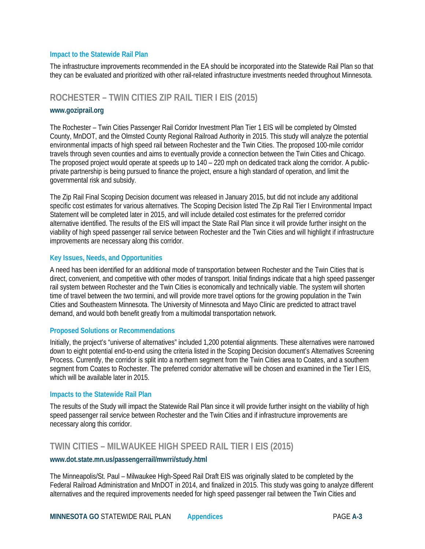The infrastructure improvements recommended in the EA should be incorporated into the Statewide Rail Plan so that they can be evaluated and prioritized with other rail-related infrastructure investments needed throughout Minnesota.

## **ROCHESTER – TWIN CITIES ZIP RAIL TIER I EIS (2015)**

#### **[www.goziprail.org](http://www.goziprail.org/)**

The Rochester – Twin Cities Passenger Rail Corridor Investment Plan Tier 1 EIS will be completed by Olmsted County, MnDOT, and the Olmsted County Regional Railroad Authority in 2015. This study will analyze the potential environmental impacts of high speed rail between Rochester and the Twin Cities. The proposed 100-mile corridor travels through seven counties and aims to eventually provide a connection between the Twin Cities and Chicago. The proposed project would operate at speeds up to 140 – 220 mph on dedicated track along the corridor. A publicprivate partnership is being pursued to finance the project, ensure a high standard of operation, and limit the governmental risk and subsidy.

The Zip Rail Final Scoping Decision document was released in January 2015, but did not include any additional specific cost estimates for various alternatives. The Scoping Decision listed The Zip Rail Tier I Environmental Impact Statement will be completed later in 2015, and will include detailed cost estimates for the preferred corridor alternative identified. The results of the EIS will impact the State Rail Plan since it will provide further insight on the viability of high speed passenger rail service between Rochester and the Twin Cities and will highlight if infrastructure improvements are necessary along this corridor.

#### **Key Issues, Needs, and Opportunities**

A need has been identified for an additional mode of transportation between Rochester and the Twin Cities that is direct, convenient, and competitive with other modes of transport. Initial findings indicate that a high speed passenger rail system between Rochester and the Twin Cities is economically and technically viable. The system will shorten time of travel between the two termini, and will provide more travel options for the growing population in the Twin Cities and Southeastern Minnesota. The University of Minnesota and Mayo Clinic are predicted to attract travel demand, and would both benefit greatly from a multimodal transportation network.

#### **Proposed Solutions or Recommendations**

Initially, the project's "universe of alternatives" included 1,200 potential alignments. These alternatives were narrowed down to eight potential end-to-end using the criteria listed in the Scoping Decision document's Alternatives Screening Process. Currently, the corridor is split into a northern segment from the Twin Cities area to Coates, and a southern segment from Coates to Rochester. The preferred corridor alternative will be chosen and examined in the Tier I EIS, which will be available later in 2015.

#### **Impacts to the Statewide Rail Plan**

The results of the Study will impact the Statewide Rail Plan since it will provide further insight on the viability of high speed passenger rail service between Rochester and the Twin Cities and if infrastructure improvements are necessary along this corridor.

## **TWIN CITIES – MILWAUKEE HIGH SPEED RAIL TIER I EIS (2015)**

#### **[www.dot.state.mn.us/passengerrail/mwrri/study.html](http://www.dot.state.mn.us/passengerrail/mwrri/study.html)**

The Minneapolis/St. Paul – Milwaukee High-Speed Rail Draft EIS was originally slated to be completed by the Federal Railroad Administration and MnDOT in 2014, and finalized in 2015. This study was going to analyze different alternatives and the required improvements needed for high speed passenger rail between the Twin Cities and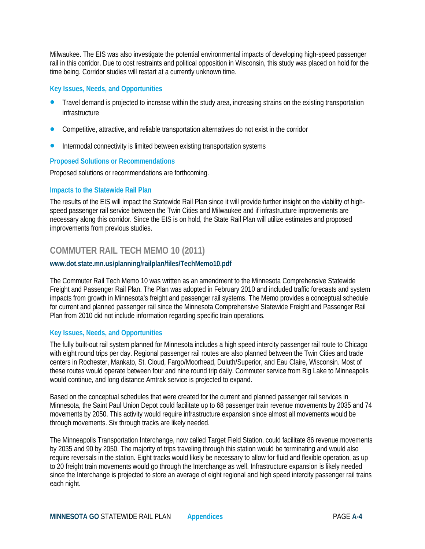Milwaukee. The EIS was also investigate the potential environmental impacts of developing high-speed passenger rail in this corridor. Due to cost restraints and political opposition in Wisconsin, this study was placed on hold for the time being. Corridor studies will restart at a currently unknown time.

#### **Key Issues, Needs, and Opportunities**

- Travel demand is projected to increase within the study area, increasing strains on the existing transportation infrastructure
- Competitive, attractive, and reliable transportation alternatives do not exist in the corridor
- Intermodal connectivity is limited between existing transportation systems

#### **Proposed Solutions or Recommendations**

Proposed solutions or recommendations are forthcoming.

#### **Impacts to the Statewide Rail Plan**

The results of the EIS will impact the Statewide Rail Plan since it will provide further insight on the viability of highspeed passenger rail service between the Twin Cities and Milwaukee and if infrastructure improvements are necessary along this corridor. Since the EIS is on hold, the State Rail Plan will utilize estimates and proposed improvements from previous studies.

## **COMMUTER RAIL TECH MEMO 10 (2011)**

#### **[www.dot.state.mn.us/planning/railplan/files/TechMemo10.pdf](http://www.dot.state.mn.us/planning/railplan/files/TechMemo10.pdf)**

The Commuter Rail Tech Memo 10 was written as an amendment to the Minnesota Comprehensive Statewide Freight and Passenger Rail Plan. The Plan was adopted in February 2010 and included traffic forecasts and system impacts from growth in Minnesota's freight and passenger rail systems. The Memo provides a conceptual schedule for current and planned passenger rail since the Minnesota Comprehensive Statewide Freight and Passenger Rail Plan from 2010 did not include information regarding specific train operations.

#### **Key Issues, Needs, and Opportunities**

The fully built-out rail system planned for Minnesota includes a high speed intercity passenger rail route to Chicago with eight round trips per day. Regional passenger rail routes are also planned between the Twin Cities and trade centers in Rochester, Mankato, St. Cloud, Fargo/Moorhead, Duluth/Superior, and Eau Claire, Wisconsin. Most of these routes would operate between four and nine round trip daily. Commuter service from Big Lake to Minneapolis would continue, and long distance Amtrak service is projected to expand.

Based on the conceptual schedules that were created for the current and planned passenger rail services in Minnesota, the Saint Paul Union Depot could facilitate up to 68 passenger train revenue movements by 2035 and 74 movements by 2050. This activity would require infrastructure expansion since almost all movements would be through movements. Six through tracks are likely needed.

The Minneapolis Transportation Interchange, now called Target Field Station, could facilitate 86 revenue movements by 2035 and 90 by 2050. The majority of trips traveling through this station would be terminating and would also require reversals in the station. Eight tracks would likely be necessary to allow for fluid and flexible operation, as up to 20 freight train movements would go through the Interchange as well. Infrastructure expansion is likely needed since the Interchange is projected to store an average of eight regional and high speed intercity passenger rail trains each night.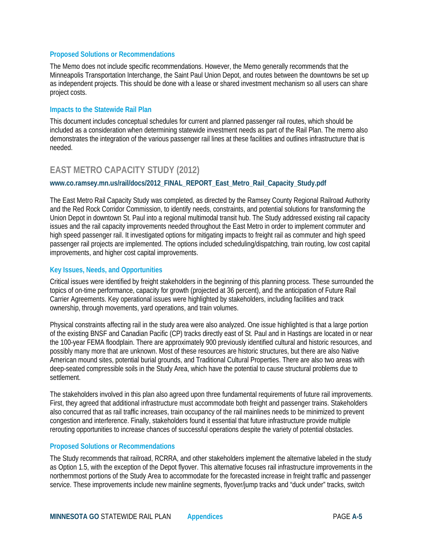#### **Proposed Solutions or Recommendations**

The Memo does not include specific recommendations. However, the Memo generally recommends that the Minneapolis Transportation Interchange, the Saint Paul Union Depot, and routes between the downtowns be set up as independent projects. This should be done with a lease or shared investment mechanism so all users can share project costs.

#### **Impacts to the Statewide Rail Plan**

This document includes conceptual schedules for current and planned passenger rail routes, which should be included as a consideration when determining statewide investment needs as part of the Rail Plan. The memo also demonstrates the integration of the various passenger rail lines at these facilities and outlines infrastructure that is needed.

## **EAST METRO CAPACITY STUDY (2012)**

#### **[www.co.ramsey.mn.us/rail/docs/2012\\_FINAL\\_REPORT\\_East\\_Metro\\_Rail\\_Capacity\\_Study.pdf](http://www.co.ramsey.mn.us/rail/docs/2012_FINAL_REPORT_East_Metro_Rail_Capacity_Study.pdf)**

The East Metro Rail Capacity Study was completed, as directed by the Ramsey County Regional Railroad Authority and the Red Rock Corridor Commission, to identify needs, constraints, and potential solutions for transforming the Union Depot in downtown St. Paul into a regional multimodal transit hub. The Study addressed existing rail capacity issues and the rail capacity improvements needed throughout the East Metro in order to implement commuter and high speed passenger rail. It investigated options for mitigating impacts to freight rail as commuter and high speed passenger rail projects are implemented. The options included scheduling/dispatching, train routing, low cost capital improvements, and higher cost capital improvements.

#### **Key Issues, Needs, and Opportunities**

Critical issues were identified by freight stakeholders in the beginning of this planning process. These surrounded the topics of on-time performance, capacity for growth (projected at 36 percent), and the anticipation of Future Rail Carrier Agreements. Key operational issues were highlighted by stakeholders, including facilities and track ownership, through movements, yard operations, and train volumes.

Physical constraints affecting rail in the study area were also analyzed. One issue highlighted is that a large portion of the existing BNSF and Canadian Pacific (CP) tracks directly east of St. Paul and in Hastings are located in or near the 100-year FEMA floodplain. There are approximately 900 previously identified cultural and historic resources, and possibly many more that are unknown. Most of these resources are historic structures, but there are also Native American mound sites, potential burial grounds, and Traditional Cultural Properties. There are also two areas with deep-seated compressible soils in the Study Area, which have the potential to cause structural problems due to settlement.

The stakeholders involved in this plan also agreed upon three fundamental requirements of future rail improvements. First, they agreed that additional infrastructure must accommodate both freight and passenger trains. Stakeholders also concurred that as rail traffic increases, train occupancy of the rail mainlines needs to be minimized to prevent congestion and interference. Finally, stakeholders found it essential that future infrastructure provide multiple rerouting opportunities to increase chances of successful operations despite the variety of potential obstacles.

#### **Proposed Solutions or Recommendations**

The Study recommends that railroad, RCRRA, and other stakeholders implement the alternative labeled in the study as Option 1.5, with the exception of the Depot flyover. This alternative focuses rail infrastructure improvements in the northernmost portions of the Study Area to accommodate for the forecasted increase in freight traffic and passenger service. These improvements include new mainline segments, flyover/jump tracks and "duck under" tracks, switch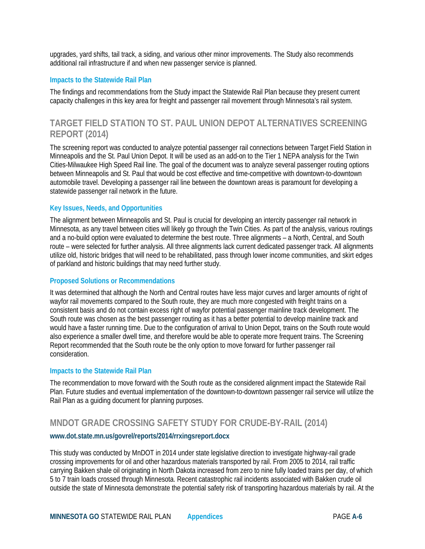upgrades, yard shifts, tail track, a siding, and various other minor improvements. The Study also recommends additional rail infrastructure if and when new passenger service is planned.

#### **Impacts to the Statewide Rail Plan**

The findings and recommendations from the Study impact the Statewide Rail Plan because they present current capacity challenges in this key area for freight and passenger rail movement through Minnesota's rail system.

## **TARGET FIELD STATION TO ST. PAUL UNION DEPOT ALTERNATIVES SCREENING REPORT (2014)**

The screening report was conducted to analyze potential passenger rail connections between Target Field Station in Minneapolis and the St. Paul Union Depot. It will be used as an add-on to the Tier 1 NEPA analysis for the Twin Cities-Milwaukee High Speed Rail line. The goal of the document was to analyze several passenger routing options between Minneapolis and St. Paul that would be cost effective and time-competitive with downtown-to-downtown automobile travel. Developing a passenger rail line between the downtown areas is paramount for developing a statewide passenger rail network in the future.

#### **Key Issues, Needs, and Opportunities**

The alignment between Minneapolis and St. Paul is crucial for developing an intercity passenger rail network in Minnesota, as any travel between cities will likely go through the Twin Cities. As part of the analysis, various routings and a no-build option were evaluated to determine the best route. Three alignments – a North, Central, and South route – were selected for further analysis. All three alignments lack current dedicated passenger track. All alignments utilize old, historic bridges that will need to be rehabilitated, pass through lower income communities, and skirt edges of parkland and historic buildings that may need further study.

#### **Proposed Solutions or Recommendations**

It was determined that although the North and Central routes have less major curves and larger amounts of right of wayfor rail movements compared to the South route, they are much more congested with freight trains on a consistent basis and do not contain excess right of wayfor potential passenger mainline track development. The South route was chosen as the best passenger routing as it has a better potential to develop mainline track and would have a faster running time. Due to the configuration of arrival to Union Depot, trains on the South route would also experience a smaller dwell time, and therefore would be able to operate more frequent trains. The Screening Report recommended that the South route be the only option to move forward for further passenger rail consideration.

#### **Impacts to the Statewide Rail Plan**

The recommendation to move forward with the South route as the considered alignment impact the Statewide Rail Plan. Future studies and eventual implementation of the downtown-to-downtown passenger rail service will utilize the Rail Plan as a guiding document for planning purposes.

## **MNDOT GRADE CROSSING SAFETY STUDY FOR CRUDE-BY-RAIL (2014)**

#### **[www.dot.state.mn.us/govrel/reports/2014/rrxingsreport.docx](http://www.dot.state.mn.us/govrel/reports/2014/rrxingsreport.docx)**

This study was conducted by MnDOT in 2014 under state legislative direction to investigate highway-rail grade crossing improvements for oil and other hazardous materials transported by rail. From 2005 to 2014, rail traffic carrying Bakken shale oil originating in North Dakota increased from zero to nine fully loaded trains per day, of which 5 to 7 train loads crossed through Minnesota. Recent catastrophic rail incidents associated with Bakken crude oil outside the state of Minnesota demonstrate the potential safety risk of transporting hazardous materials by rail. At the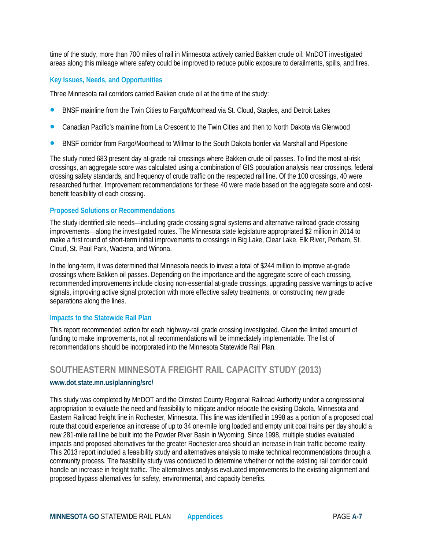time of the study, more than 700 miles of rail in Minnesota actively carried Bakken crude oil. MnDOT investigated areas along this mileage where safety could be improved to reduce public exposure to derailments, spills, and fires.

#### **Key Issues, Needs, and Opportunities**

Three Minnesota rail corridors carried Bakken crude oil at the time of the study:

- BNSF mainline from the Twin Cities to Fargo/Moorhead via St. Cloud, Staples, and Detroit Lakes
- Canadian Pacific's mainline from La Crescent to the Twin Cities and then to North Dakota via Glenwood
- BNSF corridor from Fargo/Moorhead to Willmar to the South Dakota border via Marshall and Pipestone

The study noted 683 present day at-grade rail crossings where Bakken crude oil passes. To find the most at-risk crossings, an aggregate score was calculated using a combination of GIS population analysis near crossings, federal crossing safety standards, and frequency of crude traffic on the respected rail line. Of the 100 crossings, 40 were researched further. Improvement recommendations for these 40 were made based on the aggregate score and costbenefit feasibility of each crossing.

#### **Proposed Solutions or Recommendations**

The study identified site needs—including grade crossing signal systems and alternative railroad grade crossing improvements—along the investigated routes. The Minnesota state legislature appropriated \$2 million in 2014 to make a first round of short-term initial improvements to crossings in Big Lake, Clear Lake, Elk River, Perham, St. Cloud, St. Paul Park, Wadena, and Winona.

In the long-term, it was determined that Minnesota needs to invest a total of \$244 million to improve at-grade crossings where Bakken oil passes. Depending on the importance and the aggregate score of each crossing, recommended improvements include closing non-essential at-grade crossings, upgrading passive warnings to active signals, improving active signal protection with more effective safety treatments, or constructing new grade separations along the lines.

#### **Impacts to the Statewide Rail Plan**

This report recommended action for each highway-rail grade crossing investigated. Given the limited amount of funding to make improvements, not all recommendations will be immediately implementable. The list of recommendations should be incorporated into the Minnesota Statewide Rail Plan.

## **SOUTHEASTERN MINNESOTA FREIGHT RAIL CAPACITY STUDY (2013)**

#### **[www.dot.state.mn.us/planning/src/](http://www.dot.state.mn.us/planning/src/)**

This study was completed by MnDOT and the Olmsted County Regional Railroad Authority under a congressional appropriation to evaluate the need and feasibility to mitigate and/or relocate the existing Dakota, Minnesota and Eastern Railroad freight line in Rochester, Minnesota. This line was identified in 1998 as a portion of a proposed coal route that could experience an increase of up to 34 one-mile long loaded and empty unit coal trains per day should a new 281-mile rail line be built into the Powder River Basin in Wyoming. Since 1998, multiple studies evaluated impacts and proposed alternatives for the greater Rochester area should an increase in train traffic become reality. This 2013 report included a feasibility study and alternatives analysis to make technical recommendations through a community process. The feasibility study was conducted to determine whether or not the existing rail corridor could handle an increase in freight traffic. The alternatives analysis evaluated improvements to the existing alignment and proposed bypass alternatives for safety, environmental, and capacity benefits.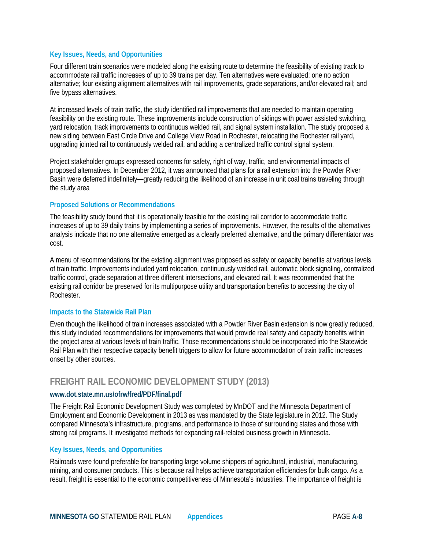#### **Key Issues, Needs, and Opportunities**

Four different train scenarios were modeled along the existing route to determine the feasibility of existing track to accommodate rail traffic increases of up to 39 trains per day. Ten alternatives were evaluated: one no action alternative; four existing alignment alternatives with rail improvements, grade separations, and/or elevated rail; and five bypass alternatives.

At increased levels of train traffic, the study identified rail improvements that are needed to maintain operating feasibility on the existing route. These improvements include construction of sidings with power assisted switching, yard relocation, track improvements to continuous welded rail, and signal system installation. The study proposed a new siding between East Circle Drive and College View Road in Rochester, relocating the Rochester rail yard, upgrading jointed rail to continuously welded rail, and adding a centralized traffic control signal system.

Project stakeholder groups expressed concerns for safety, right of way, traffic, and environmental impacts of proposed alternatives. In December 2012, it was announced that plans for a rail extension into the Powder River Basin were deferred indefinitely—greatly reducing the likelihood of an increase in unit coal trains traveling through the study area

#### **Proposed Solutions or Recommendations**

The feasibility study found that it is operationally feasible for the existing rail corridor to accommodate traffic increases of up to 39 daily trains by implementing a series of improvements. However, the results of the alternatives analysis indicate that no one alternative emerged as a clearly preferred alternative, and the primary differentiator was cost.

A menu of recommendations for the existing alignment was proposed as safety or capacity benefits at various levels of train traffic. Improvements included yard relocation, continuously welded rail, automatic block signaling, centralized traffic control, grade separation at three different intersections, and elevated rail. It was recommended that the existing rail corridor be preserved for its multipurpose utility and transportation benefits to accessing the city of Rochester.

#### **Impacts to the Statewide Rail Plan**

Even though the likelihood of train increases associated with a Powder River Basin extension is now greatly reduced, this study included recommendations for improvements that would provide real safety and capacity benefits within the project area at various levels of train traffic. Those recommendations should be incorporated into the Statewide Rail Plan with their respective capacity benefit triggers to allow for future accommodation of train traffic increases onset by other sources.

## **FREIGHT RAIL ECONOMIC DEVELOPMENT STUDY (2013)**

#### **www.dot.state.mn.us/ofrw/fred/PDF/final.pdf**

The Freight Rail Economic Development Study was completed by MnDOT and the Minnesota Department of Employment and Economic Development in 2013 as was mandated by the State legislature in 2012. The Study compared Minnesota's infrastructure, programs, and performance to those of surrounding states and those with strong rail programs. It investigated methods for expanding rail-related business growth in Minnesota.

#### **Key Issues, Needs, and Opportunities**

Railroads were found preferable for transporting large volume shippers of agricultural, industrial, manufacturing, mining, and consumer products. This is because rail helps achieve transportation efficiencies for bulk cargo. As a result, freight is essential to the economic competitiveness of Minnesota's industries. The importance of freight is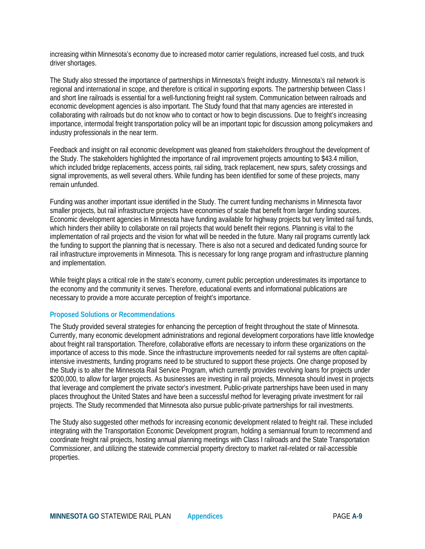increasing within Minnesota's economy due to increased motor carrier regulations, increased fuel costs, and truck driver shortages.

The Study also stressed the importance of partnerships in Minnesota's freight industry. Minnesota's rail network is regional and international in scope, and therefore is critical in supporting exports. The partnership between Class I and short line railroads is essential for a well-functioning freight rail system. Communication between railroads and economic development agencies is also important. The Study found that that many agencies are interested in collaborating with railroads but do not know who to contact or how to begin discussions. Due to freight's increasing importance, intermodal freight transportation policy will be an important topic for discussion among policymakers and industry professionals in the near term.

Feedback and insight on rail economic development was gleaned from stakeholders throughout the development of the Study. The stakeholders highlighted the importance of rail improvement projects amounting to \$43.4 million, which included bridge replacements, access points, rail siding, track replacement, new spurs, safety crossings and signal improvements, as well several others. While funding has been identified for some of these projects, many remain unfunded.

Funding was another important issue identified in the Study. The current funding mechanisms in Minnesota favor smaller projects, but rail infrastructure projects have economies of scale that benefit from larger funding sources. Economic development agencies in Minnesota have funding available for highway projects but very limited rail funds, which hinders their ability to collaborate on rail projects that would benefit their regions. Planning is vital to the implementation of rail projects and the vision for what will be needed in the future. Many rail programs currently lack the funding to support the planning that is necessary. There is also not a secured and dedicated funding source for rail infrastructure improvements in Minnesota. This is necessary for long range program and infrastructure planning and implementation.

While freight plays a critical role in the state's economy, current public perception underestimates its importance to the economy and the community it serves. Therefore, educational events and informational publications are necessary to provide a more accurate perception of freight's importance.

#### **Proposed Solutions or Recommendations**

The Study provided several strategies for enhancing the perception of freight throughout the state of Minnesota. Currently, many economic development administrations and regional development corporations have little knowledge about freight rail transportation. Therefore, collaborative efforts are necessary to inform these organizations on the importance of access to this mode. Since the infrastructure improvements needed for rail systems are often capitalintensive investments, funding programs need to be structured to support these projects. One change proposed by the Study is to alter the Minnesota Rail Service Program, which currently provides revolving loans for projects under \$200,000, to allow for larger projects. As businesses are investing in rail projects, Minnesota should invest in projects that leverage and complement the private sector's investment. Public-private partnerships have been used in many places throughout the United States and have been a successful method for leveraging private investment for rail projects. The Study recommended that Minnesota also pursue public-private partnerships for rail investments.

The Study also suggested other methods for increasing economic development related to freight rail. These included integrating with the Transportation Economic Development program, holding a semiannual forum to recommend and coordinate freight rail projects, hosting annual planning meetings with Class I railroads and the State Transportation Commissioner, and utilizing the statewide commercial property directory to market rail-related or rail-accessible properties.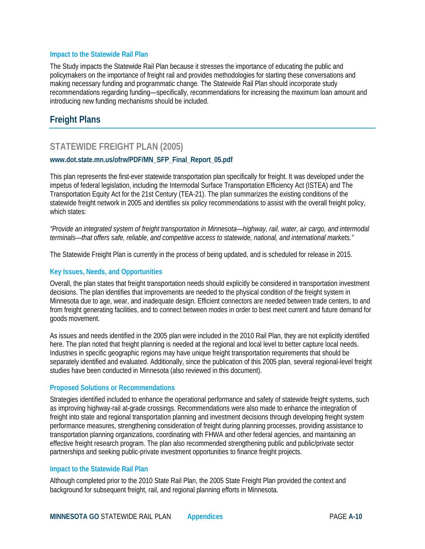The Study impacts the Statewide Rail Plan because it stresses the importance of educating the public and policymakers on the importance of freight rail and provides methodologies for starting these conversations and making necessary funding and programmatic change. The Statewide Rail Plan should incorporate study recommendations regarding funding—specifically, recommendations for increasing the maximum loan amount and introducing new funding mechanisms should be included.

## **Freight Plans**

## **STATEWIDE FREIGHT PLAN (2005)**

#### **www.dot.state.mn.us/ofrw/PDF/MN\_SFP\_Final\_Report\_05.pdf**

This plan represents the first-ever statewide transportation plan specifically for freight. It was developed under the impetus of federal legislation, including the Intermodal Surface Transportation Efficiency Act (ISTEA) and The Transportation Equity Act for the 21st Century (TEA-21). The plan summarizes the existing conditions of the statewide freight network in 2005 and identifies six policy recommendations to assist with the overall freight policy, which states:

*"Provide an integrated system of freight transportation in Minnesota—highway, rail, water, air cargo, and intermodal terminals—that offers safe, reliable, and competitive access to statewide, national, and international markets."*

The Statewide Freight Plan is currently in the process of being updated, and is scheduled for release in 2015.

#### **Key Issues, Needs, and Opportunities**

Overall, the plan states that freight transportation needs should explicitly be considered in transportation investment decisions. The plan identifies that improvements are needed to the physical condition of the freight system in Minnesota due to age, wear, and inadequate design. Efficient connectors are needed between trade centers, to and from freight generating facilities, and to connect between modes in order to best meet current and future demand for goods movement.

As issues and needs identified in the 2005 plan were included in the 2010 Rail Plan, they are not explicitly identified here. The plan noted that freight planning is needed at the regional and local level to better capture local needs. Industries in specific geographic regions may have unique freight transportation requirements that should be separately identified and evaluated. Additionally, since the publication of this 2005 plan, several regional-level freight studies have been conducted in Minnesota (also reviewed in this document).

#### **Proposed Solutions or Recommendations**

Strategies identified included to enhance the operational performance and safety of statewide freight systems, such as improving highway-rail at-grade crossings. Recommendations were also made to enhance the integration of freight into state and regional transportation planning and investment decisions through developing freight system performance measures, strengthening consideration of freight during planning processes, providing assistance to transportation planning organizations, coordinating with FHWA and other federal agencies, and maintaining an effective freight research program. The plan also recommended strengthening public and public/private sector partnerships and seeking public-private investment opportunities to finance freight projects.

#### **Impact to the Statewide Rail Plan**

Although completed prior to the 2010 State Rail Plan, the 2005 State Freight Plan provided the context and background for subsequent freight, rail, and regional planning efforts in Minnesota.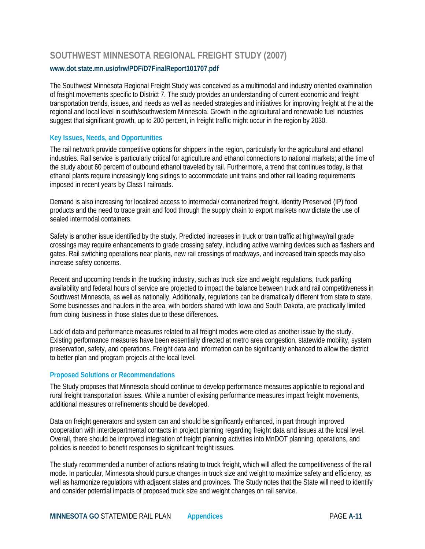## **SOUTHWEST MINNESOTA REGIONAL FREIGHT STUDY (2007) [www.dot.state.mn.us/ofrw/PDF/D7FinalReport101707.pdf](http://www.dot.state.mn.us/ofrw/PDF/D7FinalReport101707.pdf)**

The Southwest Minnesota Regional Freight Study was conceived as a multimodal and industry oriented examination of freight movements specific to District 7. The study provides an understanding of current economic and freight transportation trends, issues, and needs as well as needed strategies and initiatives for improving freight at the at the regional and local level in south/southwestern Minnesota. Growth in the agricultural and renewable fuel industries suggest that significant growth, up to 200 percent, in freight traffic might occur in the region by 2030.

#### **Key Issues, Needs, and Opportunities**

The rail network provide competitive options for shippers in the region, particularly for the agricultural and ethanol industries. Rail service is particularly critical for agriculture and ethanol connections to national markets; at the time of the study about 60 percent of outbound ethanol traveled by rail. Furthermore, a trend that continues today, is that ethanol plants require increasingly long sidings to accommodate unit trains and other rail loading requirements imposed in recent years by Class I railroads.

Demand is also increasing for localized access to intermodal/ containerized freight. Identity Preserved (IP) food products and the need to trace grain and food through the supply chain to export markets now dictate the use of sealed intermodal containers.

Safety is another issue identified by the study. Predicted increases in truck or train traffic at highway/rail grade crossings may require enhancements to grade crossing safety, including active warning devices such as flashers and gates. Rail switching operations near plants, new rail crossings of roadways, and increased train speeds may also increase safety concerns.

Recent and upcoming trends in the trucking industry, such as truck size and weight regulations, truck parking availability and federal hours of service are projected to impact the balance between truck and rail competitiveness in Southwest Minnesota, as well as nationally. Additionally, regulations can be dramatically different from state to state. Some businesses and haulers in the area, with borders shared with Iowa and South Dakota, are practically limited from doing business in those states due to these differences.

Lack of data and performance measures related to all freight modes were cited as another issue by the study. Existing performance measures have been essentially directed at metro area congestion, statewide mobility, system preservation, safety, and operations. Freight data and information can be significantly enhanced to allow the district to better plan and program projects at the local level.

#### **Proposed Solutions or Recommendations**

The Study proposes that Minnesota should continue to develop performance measures applicable to regional and rural freight transportation issues. While a number of existing performance measures impact freight movements, additional measures or refinements should be developed.

Data on freight generators and system can and should be significantly enhanced, in part through improved cooperation with interdepartmental contacts in project planning regarding freight data and issues at the local level. Overall, there should be improved integration of freight planning activities into MnDOT planning, operations, and policies is needed to benefit responses to significant freight issues.

The study recommended a number of actions relating to truck freight, which will affect the competitiveness of the rail mode. In particular, Minnesota should pursue changes in truck size and weight to maximize safety and efficiency, as well as harmonize regulations with adjacent states and provinces. The Study notes that the State will need to identify and consider potential impacts of proposed truck size and weight changes on rail service.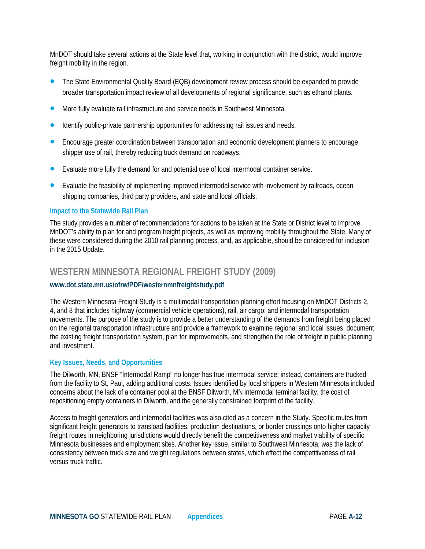MnDOT should take several actions at the State level that, working in conjunction with the district, would improve freight mobility in the region.

- The State Environmental Quality Board (EQB) development review process should be expanded to provide broader transportation impact review of all developments of regional significance, such as ethanol plants.
- More fully evaluate rail infrastructure and service needs in Southwest Minnesota.
- Identify public-private partnership opportunities for addressing rail issues and needs.
- Encourage greater coordination between transportation and economic development planners to encourage shipper use of rail, thereby reducing truck demand on roadways.
- Evaluate more fully the demand for and potential use of local intermodal container service.
- Evaluate the feasibility of implementing improved intermodal service with involvement by railroads, ocean shipping companies, third party providers, and state and local officials.

#### **Impact to the Statewide Rail Plan**

The study provides a number of recommendations for actions to be taken at the State or District level to improve MnDOT's ability to plan for and program freight projects, as well as improving mobility throughout the State. Many of these were considered during the 2010 rail planning process, and, as applicable, should be considered for inclusion in the 2015 Update.

## **WESTERN MINNESOTA REGIONAL FREIGHT STUDY (2009)**

#### **[www.dot.state.mn.us/ofrw/PDF/westernmnfreightstudy.pdf](http://www.dot.state.mn.us/ofrw/PDF/westernmnfreightstudy.pdf)**

The Western Minnesota Freight Study is a multimodal transportation planning effort focusing on MnDOT Districts 2, 4, and 8 that includes highway (commercial vehicle operations), rail, air cargo, and intermodal transportation movements. The purpose of the study is to provide a better understanding of the demands from freight being placed on the regional transportation infrastructure and provide a framework to examine regional and local issues, document the existing freight transportation system, plan for improvements, and strengthen the role of freight in public planning and investment.

#### **Key Issues, Needs, and Opportunities**

The Dilworth, MN, BNSF "Intermodal Ramp" no longer has true intermodal service; instead, containers are trucked from the facility to St. Paul, adding additional costs. Issues identified by local shippers in Western Minnesota included concerns about the lack of a container pool at the BNSF Dilworth, MN intermodal terminal facility, the cost of repositioning empty containers to Dilworth, and the generally constrained footprint of the facility.

Access to freight generators and intermodal facilities was also cited as a concern in the Study. Specific routes from significant freight generators to transload facilities, production destinations, or border crossings onto higher capacity freight routes in neighboring jurisdictions would directly benefit the competitiveness and market viability of specific Minnesota businesses and employment sites. Another key issue, similar to Southwest Minnesota, was the lack of consistency between truck size and weight regulations between states, which effect the competitiveness of rail versus truck traffic.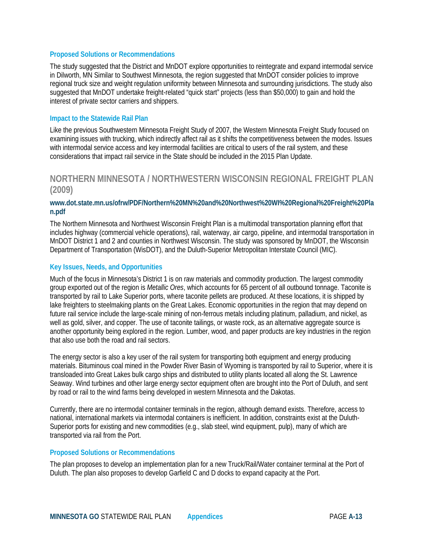#### **Proposed Solutions or Recommendations**

The study suggested that the District and MnDOT explore opportunities to reintegrate and expand intermodal service in Dilworth, MN Similar to Southwest Minnesota, the region suggested that MnDOT consider policies to improve regional truck size and weight regulation uniformity between Minnesota and surrounding jurisdictions. The study also suggested that MnDOT undertake freight-related "quick start" projects (less than \$50,000) to gain and hold the interest of private sector carriers and shippers.

#### **Impact to the Statewide Rail Plan**

Like the previous Southwestern Minnesota Freight Study of 2007, the Western Minnesota Freight Study focused on examining issues with trucking, which indirectly affect rail as it shifts the competitiveness between the modes. Issues with intermodal service access and key intermodal facilities are critical to users of the rail system, and these considerations that impact rail service in the State should be included in the 2015 Plan Update.

## **NORTHERN MINNESOTA / NORTHWESTERN WISCONSIN REGIONAL FREIGHT PLAN (2009)**

#### **[www.dot.state.mn.us/ofrw/PDF/Northern%20MN%20and%20Northwest%20WI%20Regional%20Freight%20Pla](http://www.dot.state.mn.us/ofrw/PDF/Northern%20MN%20and%20Northwest%20WI%20Regional%20Freight%20Plan.pdf) [n.pdf](http://www.dot.state.mn.us/ofrw/PDF/Northern%20MN%20and%20Northwest%20WI%20Regional%20Freight%20Plan.pdf)**

The Northern Minnesota and Northwest Wisconsin Freight Plan is a multimodal transportation planning effort that includes highway (commercial vehicle operations), rail, waterway, air cargo, pipeline, and intermodal transportation in MnDOT District 1 and 2 and counties in Northwest Wisconsin. The study was sponsored by MnDOT, the Wisconsin Department of Transportation (WisDOT), and the Duluth-Superior Metropolitan Interstate Council (MIC).

#### **Key Issues, Needs, and Opportunities**

Much of the focus in Minnesota's District 1 is on raw materials and commodity production. The largest commodity group exported out of the region is *Metallic Ores*, which accounts for 65 percent of all outbound tonnage. Taconite is transported by rail to Lake Superior ports, where taconite pellets are produced. At these locations, it is shipped by lake freighters to steelmaking plants on the Great Lakes. Economic opportunities in the region that may depend on future rail service include the large-scale mining of non-ferrous metals including platinum, palladium, and nickel, as well as gold, silver, and copper. The use of taconite tailings, or waste rock, as an alternative aggregate source is another opportunity being explored in the region. Lumber, wood, and paper products are key industries in the region that also use both the road and rail sectors.

The energy sector is also a key user of the rail system for transporting both equipment and energy producing materials. Bituminous coal mined in the Powder River Basin of Wyoming is transported by rail to Superior, where it is transloaded into Great Lakes bulk cargo ships and distributed to utility plants located all along the St. Lawrence Seaway. Wind turbines and other large energy sector equipment often are brought into the Port of Duluth, and sent by road or rail to the wind farms being developed in western Minnesota and the Dakotas.

Currently, there are no intermodal container terminals in the region, although demand exists. Therefore, access to national, international markets via intermodal containers is inefficient. In addition, constraints exist at the Duluth-Superior ports for existing and new commodities (e.g., slab steel, wind equipment, pulp), many of which are transported via rail from the Port.

#### **Proposed Solutions or Recommendations**

The plan proposes to develop an implementation plan for a new Truck/Rail/Water container terminal at the Port of Duluth. The plan also proposes to develop Garfield C and D docks to expand capacity at the Port.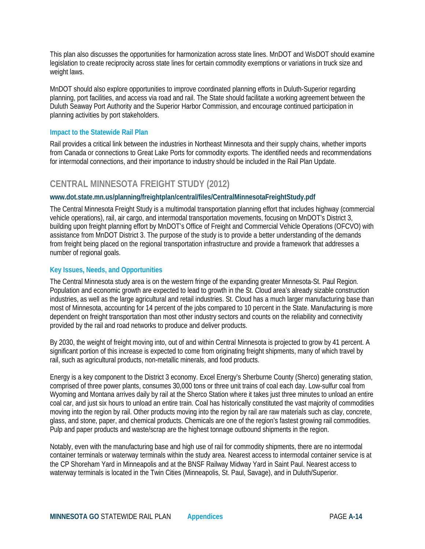This plan also discusses the opportunities for harmonization across state lines. MnDOT and WisDOT should examine legislation to create reciprocity across state lines for certain commodity exemptions or variations in truck size and weight laws.

MnDOT should also explore opportunities to improve coordinated planning efforts in Duluth-Superior regarding planning, port facilities, and access via road and rail. The State should facilitate a working agreement between the Duluth Seaway Port Authority and the Superior Harbor Commission, and encourage continued participation in planning activities by port stakeholders.

#### **Impact to the Statewide Rail Plan**

Rail provides a critical link between the industries in Northeast Minnesota and their supply chains, whether imports from Canada or connections to Great Lake Ports for commodity exports. The identified needs and recommendations for intermodal connections, and their importance to industry should be included in the Rail Plan Update.

## **CENTRAL MINNESOTA FREIGHT STUDY (2012)**

#### **[www.dot.state.mn.us/planning/freightplan/central/files/CentralMinnesotaFreightStudy.pdf](http://www.dot.state.mn.us/planning/freightplan/central/files/CentralMinnesotaFreightStudy.pdf)**

The Central Minnesota Freight Study is a multimodal transportation planning effort that includes highway (commercial vehicle operations), rail, air cargo, and intermodal transportation movements, focusing on MnDOT's District 3, building upon freight planning effort by MnDOT's Office of Freight and Commercial Vehicle Operations (OFCVO) with assistance from MnDOT District 3. The purpose of the study is to provide a better understanding of the demands from freight being placed on the regional transportation infrastructure and provide a framework that addresses a number of regional goals.

#### **Key Issues, Needs, and Opportunities**

The Central Minnesota study area is on the western fringe of the expanding greater Minnesota-St. Paul Region. Population and economic growth are expected to lead to growth in the St. Cloud area's already sizable construction industries, as well as the large agricultural and retail industries. St. Cloud has a much larger manufacturing base than most of Minnesota, accounting for 14 percent of the jobs compared to 10 percent in the State. Manufacturing is more dependent on freight transportation than most other industry sectors and counts on the reliability and connectivity provided by the rail and road networks to produce and deliver products.

By 2030, the weight of freight moving into, out of and within Central Minnesota is projected to grow by 41 percent. A significant portion of this increase is expected to come from originating freight shipments, many of which travel by rail, such as agricultural products, non-metallic minerals, and food products.

Energy is a key component to the District 3 economy. Excel Energy's Sherburne County (Sherco) generating station, comprised of three power plants, consumes 30,000 tons or three unit trains of coal each day. Low-sulfur coal from Wyoming and Montana arrives daily by rail at the Sherco Station where it takes just three minutes to unload an entire coal car, and just six hours to unload an entire train. Coal has historically constituted the vast majority of commodities moving into the region by rail. Other products moving into the region by rail are raw materials such as clay, concrete, glass, and stone, paper, and chemical products. Chemicals are one of the region's fastest growing rail commodities. Pulp and paper products and waste/scrap are the highest tonnage outbound shipments in the region.

Notably, even with the manufacturing base and high use of rail for commodity shipments, there are no intermodal container terminals or waterway terminals within the study area. Nearest access to intermodal container service is at the CP Shoreham Yard in Minneapolis and at the BNSF Railway Midway Yard in Saint Paul. Nearest access to waterway terminals is located in the Twin Cities (Minneapolis, St. Paul, Savage), and in Duluth/Superior.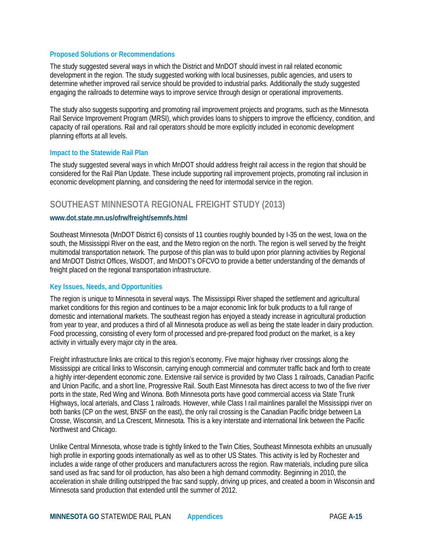#### **Proposed Solutions or Recommendations**

The study suggested several ways in which the District and MnDOT should invest in rail related economic development in the region. The study suggested working with local businesses, public agencies, and users to determine whether improved rail service should be provided to industrial parks. Additionally the study suggested engaging the railroads to determine ways to improve service through design or operational improvements.

The study also suggests supporting and promoting rail improvement projects and programs, such as the Minnesota Rail Service Improvement Program (MRSI), which provides loans to shippers to improve the efficiency, condition, and capacity of rail operations. Rail and rail operators should be more explicitly included in economic development planning efforts at all levels.

#### **Impact to the Statewide Rail Plan**

The study suggested several ways in which MnDOT should address freight rail access in the region that should be considered for the Rail Plan Update. These include supporting rail improvement projects, promoting rail inclusion in economic development planning, and considering the need for intermodal service in the region.

## **SOUTHEAST MINNESOTA REGIONAL FREIGHT STUDY (2013)**

#### **[www.dot.state.mn.us/ofrw/freight/semnfs.html](http://www.dot.state.mn.us/ofrw/freight/semnfs.html)**

Southeast Minnesota (MnDOT District 6) consists of 11 counties roughly bounded by I-35 on the west, Iowa on the south, the Mississippi River on the east, and the Metro region on the north. The region is well served by the freight multimodal transportation network. The purpose of this plan was to build upon prior planning activities by Regional and MnDOT District Offices, WisDOT, and MnDOT's OFCVO to provide a better understanding of the demands of freight placed on the regional transportation infrastructure.

#### **Key Issues, Needs, and Opportunities**

The region is unique to Minnesota in several ways. The Mississippi River shaped the settlement and agricultural market conditions for this region and continues to be a major economic link for bulk products to a full range of domestic and international markets. The southeast region has enjoyed a steady increase in agricultural production from year to year, and produces a third of all Minnesota produce as well as being the state leader in dairy production. Food processing, consisting of every form of processed and pre-prepared food product on the market, is a key activity in virtually every major city in the area.

Freight infrastructure links are critical to this region's economy. Five major highway river crossings along the Mississippi are critical links to Wisconsin, carrying enough commercial and commuter traffic back and forth to create a highly inter-dependent economic zone. Extensive rail service is provided by two Class 1 railroads, Canadian Pacific and Union Pacific, and a short line, Progressive Rail. South East Minnesota has direct access to two of the five river ports in the state, Red Wing and Winona. Both Minnesota ports have good commercial access via State Trunk Highways, local arterials, and Class 1 railroads. However, while Class I rail mainlines parallel the Mississippi river on both banks (CP on the west, BNSF on the east), the only rail crossing is the Canadian Pacific bridge between La Crosse, Wisconsin, and La Crescent, Minnesota. This is a key interstate and international link between the Pacific Northwest and Chicago.

Unlike Central Minnesota, whose trade is tightly linked to the Twin Cities, Southeast Minnesota exhibits an unusually high profile in exporting goods internationally as well as to other US States. This activity is led by Rochester and includes a wide range of other producers and manufacturers across the region. Raw materials, including pure silica sand used as frac sand for oil production, has also been a high demand commodity. Beginning in 2010, the acceleration in shale drilling outstripped the frac sand supply, driving up prices, and created a boom in Wisconsin and Minnesota sand production that extended until the summer of 2012.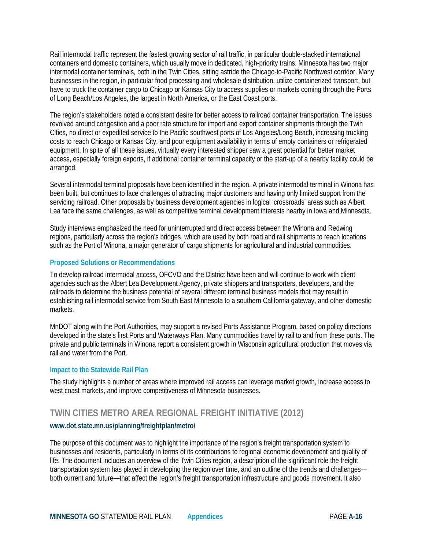Rail intermodal traffic represent the fastest growing sector of rail traffic, in particular double-stacked international containers and domestic containers, which usually move in dedicated, high-priority trains. Minnesota has two major intermodal container terminals, both in the Twin Cities, sitting astride the Chicago-to-Pacific Northwest corridor. Many businesses in the region, in particular food processing and wholesale distribution, utilize containerized transport, but have to truck the container cargo to Chicago or Kansas City to access supplies or markets coming through the Ports of Long Beach/Los Angeles, the largest in North America, or the East Coast ports.

The region's stakeholders noted a consistent desire for better access to railroad container transportation. The issues revolved around congestion and a poor rate structure for import and export container shipments through the Twin Cities, no direct or expedited service to the Pacific southwest ports of Los Angeles/Long Beach, increasing trucking costs to reach Chicago or Kansas City, and poor equipment availability in terms of empty containers or refrigerated equipment. In spite of all these issues, virtually every interested shipper saw a great potential for better market access, especially foreign exports, if additional container terminal capacity or the start-up of a nearby facility could be arranged.

Several intermodal terminal proposals have been identified in the region. A private intermodal terminal in Winona has been built, but continues to face challenges of attracting major customers and having only limited support from the servicing railroad. Other proposals by business development agencies in logical 'crossroads' areas such as Albert Lea face the same challenges, as well as competitive terminal development interests nearby in Iowa and Minnesota.

Study interviews emphasized the need for uninterrupted and direct access between the Winona and Redwing regions, particularly across the region's bridges, which are used by both road and rail shipments to reach locations such as the Port of Winona, a major generator of cargo shipments for agricultural and industrial commodities.

#### **Proposed Solutions or Recommendations**

To develop railroad intermodal access, OFCVO and the District have been and will continue to work with client agencies such as the Albert Lea Development Agency, private shippers and transporters, developers, and the railroads to determine the business potential of several different terminal business models that may result in establishing rail intermodal service from South East Minnesota to a southern California gateway, and other domestic markets.

MnDOT along with the Port Authorities, may support a revised Ports Assistance Program, based on policy directions developed in the state's first Ports and Waterways Plan. Many commodities travel by rail to and from these ports. The private and public terminals in Winona report a consistent growth in Wisconsin agricultural production that moves via rail and water from the Port.

#### **Impact to the Statewide Rail Plan**

The study highlights a number of areas where improved rail access can leverage market growth, increase access to west coast markets, and improve competitiveness of Minnesota businesses.

## **TWIN CITIES METRO AREA REGIONAL FREIGHT INITIATIVE (2012)**

#### **[www.dot.state.mn.us/planning/freightplan/metro/](http://www.dot.state.mn.us/planning/freightplan/metro/)**

The purpose of this document was to highlight the importance of the region's freight transportation system to businesses and residents, particularly in terms of its contributions to regional economic development and quality of life. The document includes an overview of the Twin Cities region, a description of the significant role the freight transportation system has played in developing the region over time, and an outline of the trends and challenges both current and future—that affect the region's freight transportation infrastructure and goods movement. It also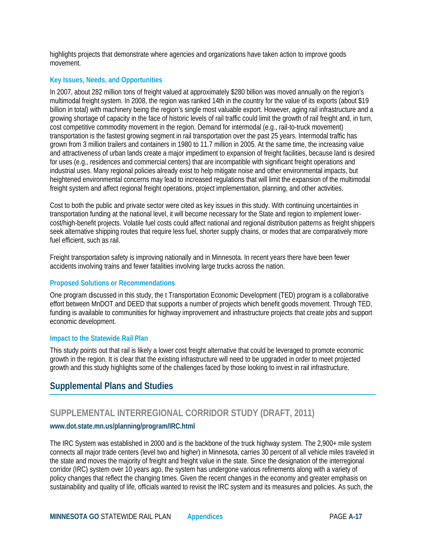highlights projects that demonstrate where agencies and organizations have taken action to improve goods movement.

#### **Key Issues, Needs, and Opportunities**

In 2007, about 282 million tons of freight valued at approximately \$280 billion was moved annually on the region's multimodal freight system. In 2008, the region was ranked 14th in the country for the value of its exports (about \$19 billion in total) with machinery being the region's single most valuable export. However, aging rail infrastructure and a growing shortage of capacity in the face of historic levels of rail traffic could limit the growth of rail freight and, in turn, cost competitive commodity movement in the region. Demand for intermodal (e.g., rail-to-truck movement) transportation is the fastest growing segment in rail transportation over the past 25 years. Intermodal traffic has grown from 3 million trailers and containers in 1980 to 11.7 million in 2005. At the same time, the increasing value and attractiveness of urban lands create a major impediment to expansion of freight facilities, because land is desired for uses (e.g., residences and commercial centers) that are incompatible with significant freight operations and industrial uses. Many regional policies already exist to help mitigate noise and other environmental impacts, but heightened environmental concerns may lead to increased regulations that will limit the expansion of the multimodal freight system and affect regional freight operations, project implementation, planning, and other activities.

Cost to both the public and private sector were cited as key issues in this study. With continuing uncertainties in transportation funding at the national level, it will become necessary for the State and region to implement lowercost/high-benefit projects. Volatile fuel costs could affect national and regional distribution patterns as freight shippers seek alternative shipping routes that require less fuel, shorter supply chains, or modes that are comparatively more fuel efficient, such as rail.

Freight transportation safety is improving nationally and in Minnesota. In recent years there have been fewer accidents involving trains and fewer fatalities involving large trucks across the nation.

#### **Proposed Solutions or Recommendations**

One program discussed in this study, the t Transportation Economic Development (TED) program is a collaborative effort between MnDOT and DEED that supports a number of projects which benefit goods movement. Through TED, funding is available to communities for highway improvement and infrastructure projects that create jobs and support economic development.

#### **Impact to the Statewide Rail Plan**

This study points out that rail is likely a lower cost freight alternative that could be leveraged to promote economic growth in the region. It is clear that the existing infrastructure will need to be upgraded in order to meet projected growth and this study highlights some of the challenges faced by those looking to invest in rail infrastructure.

## **Supplemental Plans and Studies**

## **SUPPLEMENTAL INTERREGIONAL CORRIDOR STUDY (DRAFT, 2011)**

#### **[www.dot.state.mn.us/planning/program/IRC.html](http://www.dot.state.mn.us/planning/program/IRC.html)**

The IRC System was established in 2000 and is the backbone of the truck highway system. The 2,900+ mile system connects all major trade centers (level two and higher) in Minnesota, carries 30 percent of all vehicle miles traveled in the state and moves the majority of freight and freight value in the state. Since the designation of the interregional corridor (IRC) system over 10 years ago, the system has undergone various refinements along with a variety of policy changes that reflect the changing times. Given the recent changes in the economy and greater emphasis on sustainability and quality of life, officials wanted to revisit the IRC system and its measures and policies. As such, the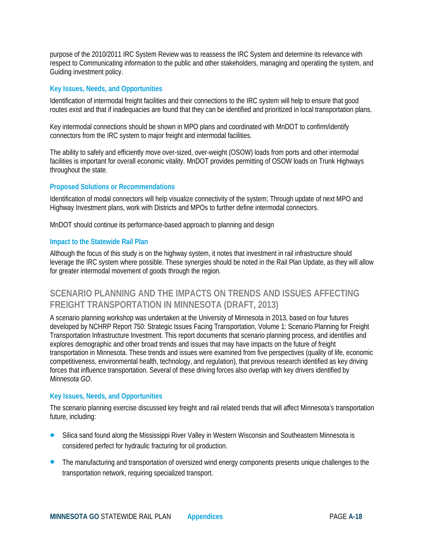purpose of the 2010/2011 IRC System Review was to reassess the IRC System and determine its relevance with respect to Communicating information to the public and other stakeholders, managing and operating the system, and Guiding investment policy.

#### **Key Issues, Needs, and Opportunities**

Identification of intermodal freight facilities and their connections to the IRC system will help to ensure that good routes exist and that if inadequacies are found that they can be identified and prioritized in local transportation plans.

Key intermodal connections should be shown in MPO plans and coordinated with MnDOT to confirm/identify connectors from the IRC system to major freight and intermodal facilities.

The ability to safely and efficiently move over-sized, over-weight (OSOW) loads from ports and other intermodal facilities is important for overall economic vitality. MnDOT provides permitting of OSOW loads on Trunk Highways throughout the state.

#### **Proposed Solutions or Recommendations**

Identification of modal connectors will help visualize connectivity of the system; Through update of next MPO and Highway Investment plans, work with Districts and MPOs to further define intermodal connectors.

MnDOT should continue its performance-based approach to planning and design

#### **Impact to the Statewide Rail Plan**

Although the focus of this study is on the highway system, it notes that investment in rail infrastructure should leverage the IRC system where possible. These synergies should be noted in the Rail Plan Update, as they will allow for greater intermodal movement of goods through the region.

## **SCENARIO PLANNING AND THE IMPACTS ON TRENDS AND ISSUES AFFECTING FREIGHT TRANSPORTATION IN MINNESOTA (DRAFT, 2013)**

A scenario planning workshop was undertaken at the University of Minnesota in 2013, based on four futures developed by NCHRP Report 750: Strategic Issues Facing Transportation, Volume 1: Scenario Planning for Freight Transportation Infrastructure Investment. This report documents that scenario planning process, and identifies and explores demographic and other broad trends and issues that may have impacts on the future of freight transportation in Minnesota. These trends and issues were examined from five perspectives (quality of life, economic competitiveness, environmental health, technology, and regulation), that previous research identified as key driving forces that influence transportation. Several of these driving forces also overlap with key drivers identified by *Minnesota GO*.

#### **Key Issues, Needs, and Opportunities**

The scenario planning exercise discussed key freight and rail related trends that will affect Minnesota's transportation future, including:

- Silica sand found along the Mississippi River Valley in Western Wisconsin and Southeastern Minnesota is considered perfect for hydraulic fracturing for oil production.
- The manufacturing and transportation of oversized wind energy components presents unique challenges to the transportation network, requiring specialized transport.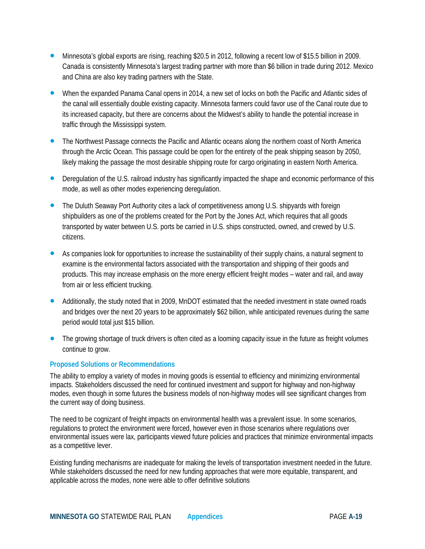- Minnesota's global exports are rising, reaching \$20.5 in 2012, following a recent low of \$15.5 billion in 2009. Canada is consistently Minnesota's largest trading partner with more than \$6 billion in trade during 2012. Mexico and China are also key trading partners with the State.
- When the expanded Panama Canal opens in 2014, a new set of locks on both the Pacific and Atlantic sides of the canal will essentially double existing capacity. Minnesota farmers could favor use of the Canal route due to its increased capacity, but there are concerns about the Midwest's ability to handle the potential increase in traffic through the Mississippi system.
- The Northwest Passage connects the Pacific and Atlantic oceans along the northern coast of North America through the Arctic Ocean. This passage could be open for the entirety of the peak shipping season by 2050, likely making the passage the most desirable shipping route for cargo originating in eastern North America.
- Deregulation of the U.S. railroad industry has significantly impacted the shape and economic performance of this mode, as well as other modes experiencing deregulation.
- The Duluth Seaway Port Authority cites a lack of competitiveness among U.S. shipyards with foreign shipbuilders as one of the problems created for the Port by the Jones Act, which requires that all goods transported by water between U.S. ports be carried in U.S. ships constructed, owned, and crewed by U.S. citizens.
- As companies look for opportunities to increase the sustainability of their supply chains, a natural segment to examine is the environmental factors associated with the transportation and shipping of their goods and products. This may increase emphasis on the more energy efficient freight modes – water and rail, and away from air or less efficient trucking.
- Additionally, the study noted that in 2009, MnDOT estimated that the needed investment in state owned roads and bridges over the next 20 years to be approximately \$62 billion, while anticipated revenues during the same period would total just \$15 billion.
- The growing shortage of truck drivers is often cited as a looming capacity issue in the future as freight volumes continue to grow.

#### **Proposed Solutions or Recommendations**

The ability to employ a variety of modes in moving goods is essential to efficiency and minimizing environmental impacts. Stakeholders discussed the need for continued investment and support for highway and non-highway modes, even though in some futures the business models of non-highway modes will see significant changes from the current way of doing business.

The need to be cognizant of freight impacts on environmental health was a prevalent issue. In some scenarios, regulations to protect the environment were forced, however even in those scenarios where regulations over environmental issues were lax, participants viewed future policies and practices that minimize environmental impacts as a competitive lever.

Existing funding mechanisms are inadequate for making the levels of transportation investment needed in the future. While stakeholders discussed the need for new funding approaches that were more equitable, transparent, and applicable across the modes, none were able to offer definitive solutions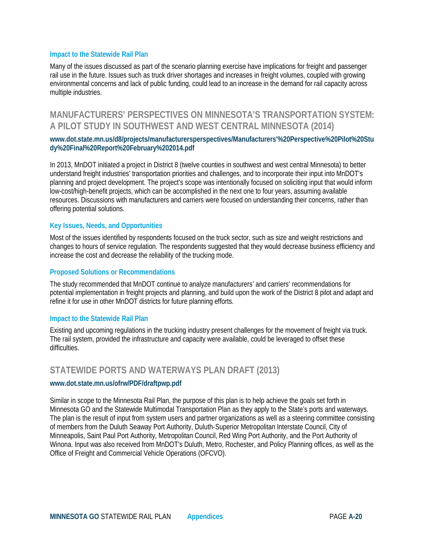Many of the issues discussed as part of the scenario planning exercise have implications for freight and passenger rail use in the future. Issues such as truck driver shortages and increases in freight volumes, coupled with growing environmental concerns and lack of public funding, could lead to an increase in the demand for rail capacity across multiple industries.

## **MANUFACTURERS' PERSPECTIVES ON MINNESOTA'S TRANSPORTATION SYSTEM: A PILOT STUDY IN SOUTHWEST AND WEST CENTRAL MINNESOTA (2014)**

#### **www.dot.state.mn.us/d8/projects/manufacturersperspectives/Manufacturers'%20Perspective%20Pilot%20Stu dy%20Final%20Report%20February%202014.pdf**

In 2013, MnDOT initiated a project in District 8 (twelve counties in southwest and west central Minnesota) to better understand freight industries' transportation priorities and challenges, and to incorporate their input into MnDOT's planning and project development. The project's scope was intentionally focused on soliciting input that would inform low-cost/high-benefit projects, which can be accomplished in the next one to four years, assuming available resources. Discussions with manufacturers and carriers were focused on understanding their concerns, rather than offering potential solutions.

#### **Key Issues, Needs, and Opportunities**

Most of the issues identified by respondents focused on the truck sector, such as size and weight restrictions and changes to hours of service regulation. The respondents suggested that they would decrease business efficiency and increase the cost and decrease the reliability of the trucking mode.

#### **Proposed Solutions or Recommendations**

The study recommended that MnDOT continue to analyze manufacturers' and carriers' recommendations for potential implementation in freight projects and planning, and build upon the work of the District 8 pilot and adapt and refine it for use in other MnDOT districts for future planning efforts.

#### **Impact to the Statewide Rail Plan**

Existing and upcoming regulations in the trucking industry present challenges for the movement of freight via truck. The rail system, provided the infrastructure and capacity were available, could be leveraged to offset these difficulties.

## **STATEWIDE PORTS AND WATERWAYS PLAN DRAFT (2013)**

#### **www.dot.state.mn.us/ofrw/PDF/draftpwp.pdf**

Similar in scope to the Minnesota Rail Plan, the purpose of this plan is to help achieve the goals set forth in Minnesota GO and the Statewide Multimodal Transportation Plan as they apply to the State's ports and waterways. The plan is the result of input from system users and partner organizations as well as a steering committee consisting of members from the Duluth Seaway Port Authority, Duluth‐Superior Metropolitan Interstate Council, City of Minneapolis, Saint Paul Port Authority, Metropolitan Council, Red Wing Port Authority, and the Port Authority of Winona. Input was also received from MnDOT's Duluth, Metro, Rochester, and Policy Planning offices, as well as the Office of Freight and Commercial Vehicle Operations (OFCVO).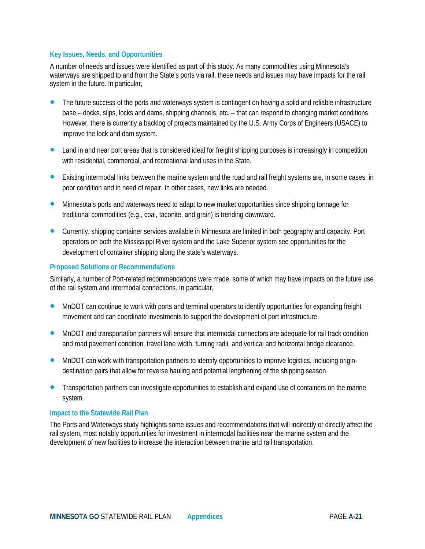#### **Key Issues, Needs, and Opportunities**

A number of needs and issues were identified as part of this study. As many commodities using Minnesota's waterways are shipped to and from the State's ports via rail, these needs and issues may have impacts for the rail system in the future. In particular,

- The future success of the ports and waterways system is contingent on having a solid and reliable infrastructure base – docks, slips, locks and dams, shipping channels, etc. – that can respond to changing market conditions. However, there is currently a backlog of projects maintained by the U.S. Army Corps of Engineers (USACE) to improve the lock and dam system.
- Land in and near port areas that is considered ideal for freight shipping purposes is increasingly in competition with residential, commercial, and recreational land uses in the State.
- Existing intermodal links between the marine system and the road and rail freight systems are, in some cases, in poor condition and in need of repair. In other cases, new links are needed.
- Minnesota's ports and waterways need to adapt to new market opportunities since shipping tonnage for traditional commodities (e.g., coal, taconite, and grain) is trending downward.
- Currently, shipping container services available in Minnesota are limited in both geography and capacity. Port operators on both the Mississippi River system and the Lake Superior system see opportunities for the development of container shipping along the state's waterways.

#### **Proposed Solutions or Recommendations**

Similarly, a number of Port-related recommendations were made, some of which may have impacts on the future use of the rail system and intermodal connections. In particular,

- MnDOT can continue to work with ports and terminal operators to identify opportunities for expanding freight movement and can coordinate investments to support the development of port infrastructure.
- MnDOT and transportation partners will ensure that intermodal connectors are adequate for rail track condition and road pavement condition, travel lane width, turning radii, and vertical and horizontal bridge clearance.
- MnDOT can work with transportation partners to identify opportunities to improve logistics, including origindestination pairs that allow for reverse hauling and potential lengthening of the shipping season.
- Transportation partners can investigate opportunities to establish and expand use of containers on the marine system.

#### **Impact to the Statewide Rail Plan**

The Ports and Waterways study highlights some issues and recommendations that will indirectly or directly affect the rail system, most notably opportunities for investment in intermodal facilities near the marine system and the development of new facilities to increase the interaction between marine and rail transportation.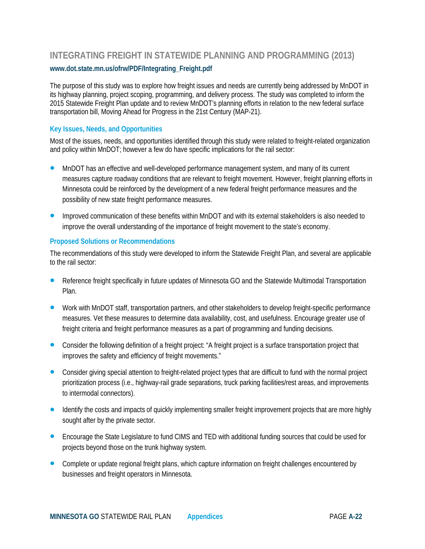## **INTEGRATING FREIGHT IN STATEWIDE PLANNING AND PROGRAMMING (2013) www.dot.state.mn.us/ofrw/PDF/Integrating\_Freight.pdf**

The purpose of this study was to explore how freight issues and needs are currently being addressed by MnDOT in its highway planning, project scoping, programming, and delivery process. The study was completed to inform the 2015 Statewide Freight Plan update and to review MnDOT's planning efforts in relation to the new federal surface transportation bill, Moving Ahead for Progress in the 21st Century (MAP-21).

#### **Key Issues, Needs, and Opportunities**

Most of the issues, needs, and opportunities identified through this study were related to freight-related organization and policy within MnDOT; however a few do have specific implications for the rail sector:

- MnDOT has an effective and well-developed performance management system, and many of its current measures capture roadway conditions that are relevant to freight movement. However, freight planning efforts in Minnesota could be reinforced by the development of a new federal freight performance measures and the possibility of new state freight performance measures.
- Improved communication of these benefits within MnDOT and with its external stakeholders is also needed to improve the overall understanding of the importance of freight movement to the state's economy.

#### **Proposed Solutions or Recommendations**

The recommendations of this study were developed to inform the Statewide Freight Plan, and several are applicable to the rail sector:

- Reference freight specifically in future updates of Minnesota GO and the Statewide Multimodal Transportation Plan.
- Work with MnDOT staff, transportation partners, and other stakeholders to develop freight-specific performance measures. Vet these measures to determine data availability, cost, and usefulness. Encourage greater use of freight criteria and freight performance measures as a part of programming and funding decisions.
- Consider the following definition of a freight project: "A freight project is a surface transportation project that improves the safety and efficiency of freight movements."
- Consider giving special attention to freight-related project types that are difficult to fund with the normal project prioritization process (i.e., highway-rail grade separations, truck parking facilities/rest areas, and improvements to intermodal connectors).
- Identify the costs and impacts of quickly implementing smaller freight improvement projects that are more highly sought after by the private sector.
- **Encourage the State Legislature to fund CIMS and TED with additional funding sources that could be used for** projects beyond those on the trunk highway system.
- Complete or update regional freight plans, which capture information on freight challenges encountered by businesses and freight operators in Minnesota.